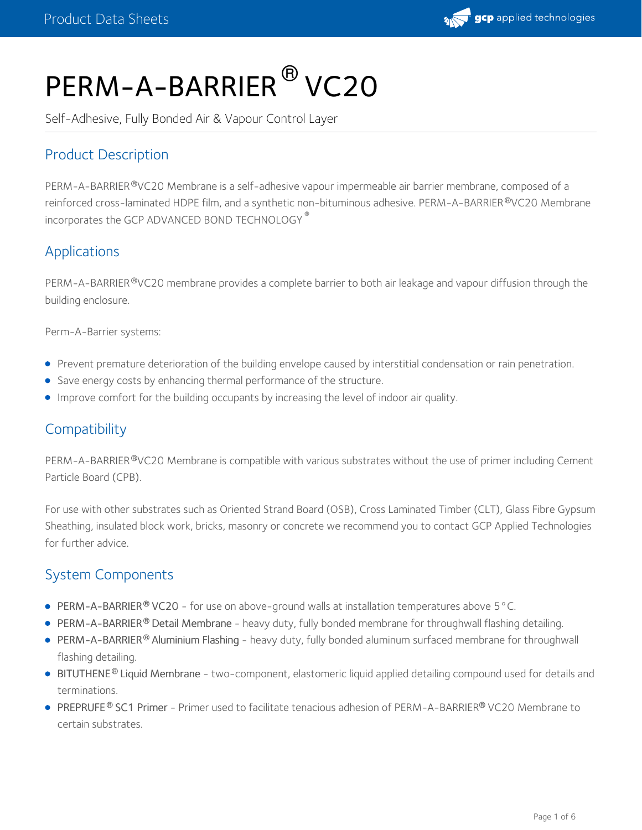

# PERM-A-BARRIER<sup>®</sup> VC20

Self-Adhesive, Fully Bonded Air & Vapour Control Layer

# Product Description

PERM-A-BARRIER®VC20 Membrane is a self-adhesive vapour impermeable air barrier membrane, composed of a reinforced cross-laminated HDPE film, and a synthetic non-bituminous adhesive. PERM-A-BARRIER®VC20 Membrane incorporates the GCP ADVANCED BOND TECHNOLOGY ®

# Applications

PERM-A-BARRIER®VC20 membrane provides a complete barrier to both air leakage and vapour diffusion through the building enclosure.

Perm-A-Barrier systems:

- Prevent premature deterioration of the building envelope caused by interstitial condensation or rain penetration.
- Save energy costs by enhancing thermal performance of the structure.
- Improve comfort for the building occupants by increasing the level of indoor air quality.

# **Compatibility**

PERM-A-BARRIER®VC20 Membrane is compatible with various substrates without the use of primer including Cement Particle Board (CPB).

For use with other substrates such as Oriented Strand Board (OSB), Cross Laminated Timber (CLT), Glass Fibre Gypsum Sheathing, insulated block work, bricks, masonry or concrete we recommend you to contact GCP Applied Technologies for further advice.

# System Components

- PERM-A-BARRIER® VC20 for use on above-ground walls at installation temperatures above 5 °C.
- **PERM-A-BARRIER<sup>®</sup> Detail Membrane** heavy duty, fully bonded membrane for throughwall flashing detailing.
- PERM-A-BARRIER® Aluminium Flashing heavy duty, fully bonded aluminum surfaced membrane for throughwall flashing detailing.
- BITUTHENE® Liquid Membrane two-component, elastomeric liquid applied detailing compound used for details and terminations.
- PREPRUFE® SC1 Primer Primer used to facilitate tenacious adhesion of PERM-A-BARRIER® VC20 Membrane to certain substrates.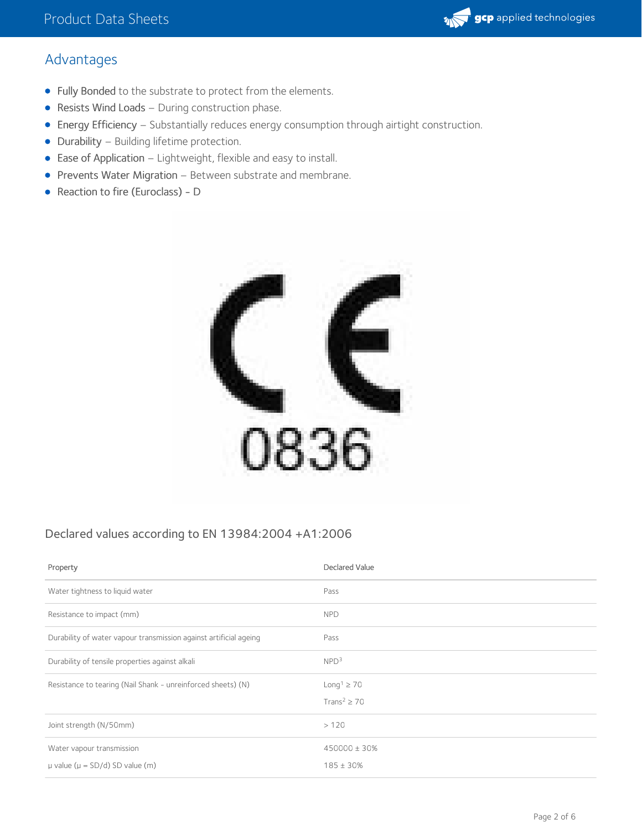# Advantages

- Fully Bonded to the substrate to protect from the elements.
- Resists Wind Loads During construction phase.
- Energy Efficiency Substantially reduces energy consumption through airtight construction.
- Durability Building lifetime protection.
- Ease of Application Lightweight, flexible and easy to install.
- Prevents Water Migration Between substrate and membrane.
- Reaction to fire (Euroclass) D



### Declared values according to EN 13984:2004 +A1:2006

| Property                                                          | Declared Value                                              |
|-------------------------------------------------------------------|-------------------------------------------------------------|
| Water tightness to liquid water                                   | Pass                                                        |
| Resistance to impact (mm)                                         | <b>NPD</b>                                                  |
| Durability of water vapour transmission against artificial ageing | Pass                                                        |
| Durability of tensile properties against alkali                   | NPD <sup>3</sup>                                            |
| Resistance to tearing (Nail Shank - unreinforced sheets) (N)      | Long <sup>1</sup> $\geq$ 70<br>Trans <sup>2</sup> $\geq$ 70 |
| Joint strength (N/50mm)                                           | >120                                                        |
| Water vapour transmission                                         | 450000 ± 30%                                                |
| $\mu$ value ( $\mu$ = SD/d) SD value (m)                          | $185 \pm 30\%$                                              |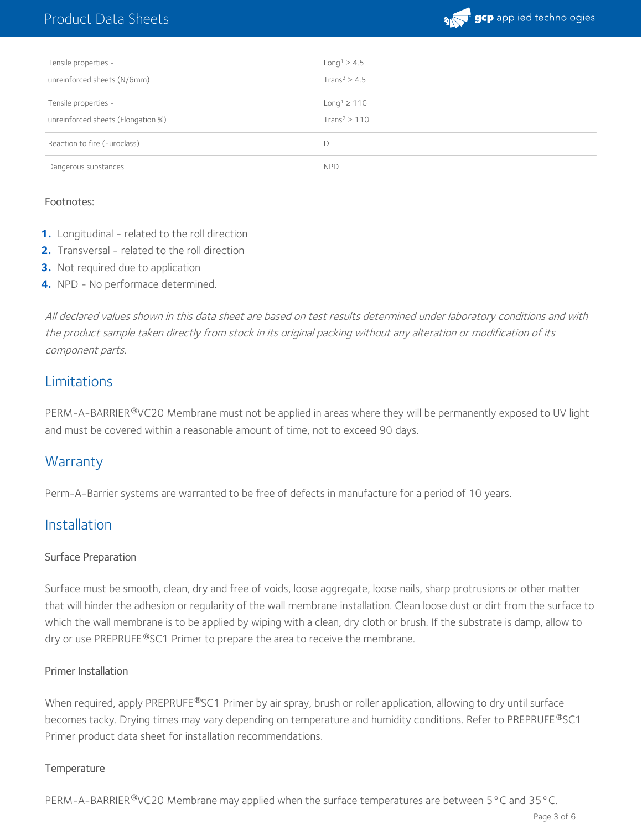# Product Data Sheets



| Tensile properties -                                       | Long <sup>1</sup> $\geq 4.5$                                  |
|------------------------------------------------------------|---------------------------------------------------------------|
| unreinforced sheets (N/6mm)                                | Trans <sup>2</sup> $\geq$ 4.5                                 |
| Tensile properties -<br>unreinforced sheets (Elongation %) | Long <sup>1</sup> $\geq$ 110<br>Trans <sup>2</sup> $\geq$ 110 |
| Reaction to fire (Euroclass)                               | D                                                             |
| Dangerous substances                                       | <b>NPD</b>                                                    |

#### Footnotes:

- 1. Longitudinal related to the roll direction
- **2.** Transversal related to the roll direction
- **3.** Not required due to application
- **4.** NPD No performace determined.

All declared values shown in this data sheet are based on test results determined under laboratory conditions and with the product sample taken directly from stock in its original packing without any alteration or modification of its component parts.

#### Limitations

PERM-A-BARRIER®VC20 Membrane must not be applied in areas where they will be permanently exposed to UV light and must be covered within a reasonable amount of time, not to exceed 90 days.

### **Warranty**

Perm-A-Barrier systems are warranted to be free of defects in manufacture for a period of 10 years.

#### Installation

#### Surface Preparation

Surface must be smooth, clean, dry and free of voids, loose aggregate, loose nails, sharp protrusions or other matter that will hinder the adhesion or regularity of the wall membrane installation. Clean loose dust or dirt from the surface to which the wall membrane is to be applied by wiping with a clean, dry cloth or brush. If the substrate is damp, allow to dry or use PREPRUFE®SC1 Primer to prepare the area to receive the membrane.

#### Primer Installation

When required, apply PREPRUFE®SC1 Primer by air spray, brush or roller application, allowing to dry until surface becomes tacky. Drying times may vary depending on temperature and humidity conditions. Refer to PREPRUFE®SC1 Primer product data sheet for installation recommendations.

#### **Temperature**

PERM-A-BARRIER  $^{\circ}$ VC20 Membrane may applied when the surface temperatures are between 5 °C and 35 °C.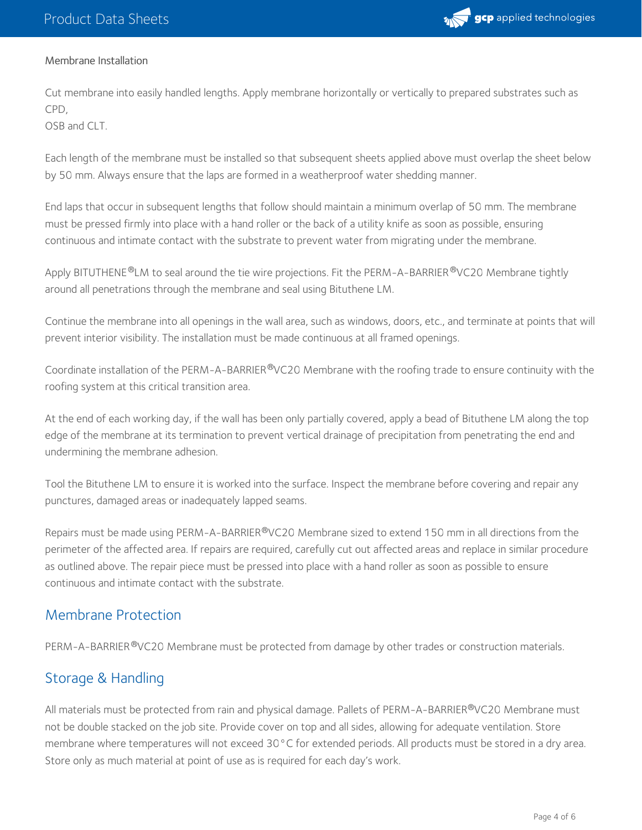

#### Membrane Installation

Cut membrane into easily handled lengths. Apply membrane horizontally or vertically to prepared substrates such as CPD,

OSB and CLT

Each length of the membrane must be installed so that subsequent sheets applied above must overlap the sheet below by 50 mm. Always ensure that the laps are formed in a weatherproof water shedding manner.

End laps that occur in subsequent lengths that follow should maintain a minimum overlap of 50 mm. The membrane must be pressed firmly into place with a hand roller or the back of a utility knife as soon as possible, ensuring continuous and intimate contact with the substrate to prevent water from migrating under the membrane.

Apply BITUTHENE®LM to seal around the tie wire projections. Fit the PERM-A-BARRIER®VC20 Membrane tightly around all penetrations through the membrane and seal using Bituthene LM.

Continue the membrane into all openings in the wall area, such as windows, doors, etc., and terminate at points that will prevent interior visibility. The installation must be made continuous at all framed openings.

Coordinate installation of the PERM-A-BARRIER®VC20 Membrane with the roofing trade to ensure continuity with the roofing system at this critical transition area.

At the end of each working day, if the wall has been only partially covered, apply a bead of Bituthene LM along the top edge of the membrane at its termination to prevent vertical drainage of precipitation from penetrating the end and undermining the membrane adhesion.

Tool the Bituthene LM to ensure it is worked into the surface. Inspect the membrane before covering and repair any punctures, damaged areas or inadequately lapped seams.

Repairs must be made using PERM-A-BARRIER®VC20 Membrane sized to extend 150 mm in all directions from the perimeter of the affected area. If repairs are required, carefully cut out affected areas and replace in similar procedure as outlined above. The repair piece must be pressed into place with a hand roller as soon as possible to ensure continuous and intimate contact with the substrate.

### Membrane Protection

PERM-A-BARRIER®VC20 Membrane must be protected from damage by other trades or construction materials.

# Storage & Handling

All materials must be protected from rain and physical damage. Pallets of PERM-A-BARRIER®VC20 Membrane must not be double stacked on the job site. Provide cover on top and all sides, allowing for adequate ventilation. Store membrane where temperatures will not exceed 30°C for extended periods. All products must be stored in a dry area. Store only as much material at point of use as is required for each day's work.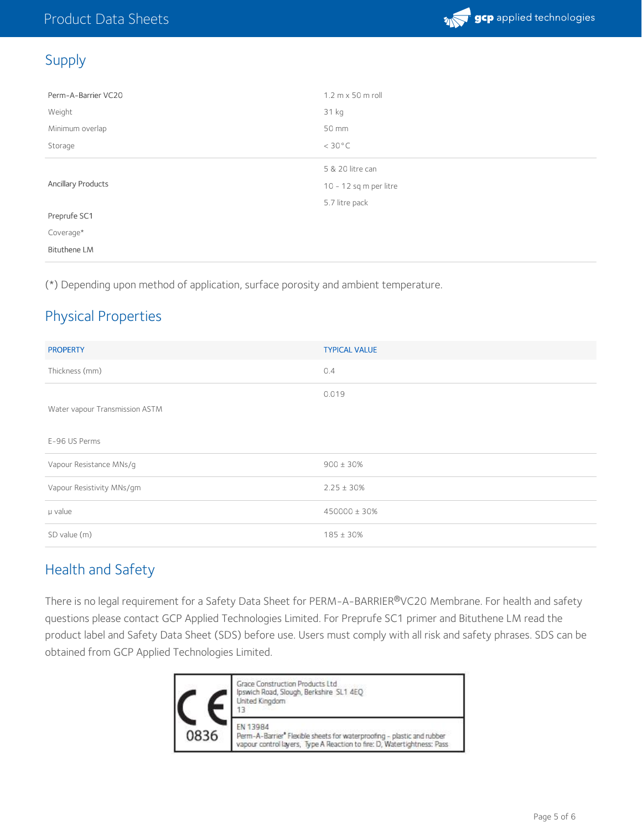

# Supply

| Perm-A-Barrier VC20 | 1.2 m x 50 m roll      |
|---------------------|------------------------|
| Weight              | 31 kg                  |
| Minimum overlap     | 50 mm                  |
| Storage             | $<$ 30 $^{\circ}$ C    |
|                     | 5 & 20 litre can       |
| Ancillary Products  | 10 - 12 sq m per litre |
|                     | 5.7 litre pack         |
| Preprufe SC1        |                        |
| Coverage*           |                        |
| <b>Bituthene LM</b> |                        |

(\*) Depending upon method of application, surface porosity and ambient temperature.

# Physical Properties

| <b>PROPERTY</b>                | <b>TYPICAL VALUE</b> |
|--------------------------------|----------------------|
| Thickness (mm)                 | 0.4                  |
|                                | 0.019                |
| Water vapour Transmission ASTM |                      |
| E-96 US Perms                  |                      |
| Vapour Resistance MNs/g        | $900 \pm 30\%$       |
| Vapour Resistivity MNs/gm      | $2.25 \pm 30\%$      |
| µ value                        | 450000 ± 30%         |
| SD value (m)                   | $185 \pm 30\%$       |

# Health and Safety

There is no legal requirement for a Safety Data Sheet for PERM-A-BARRIER®VC20 Membrane. For health and safety questions please contact GCP Applied Technologies Limited. For Preprufe SC1 primer and Bituthene LM read the product label and Safety Data Sheet (SDS) before use. Users must comply with all risk and safety phrases. SDS can be obtained from GCP Applied Technologies Limited.